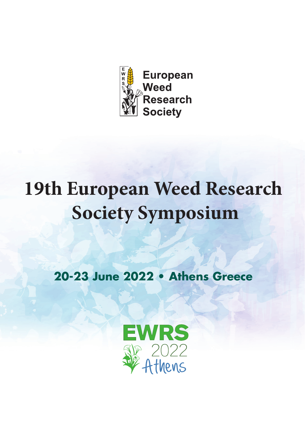

# **19th European Weed Research Society Symposium**

20-22 20-23 June 2022 • Athens Greece

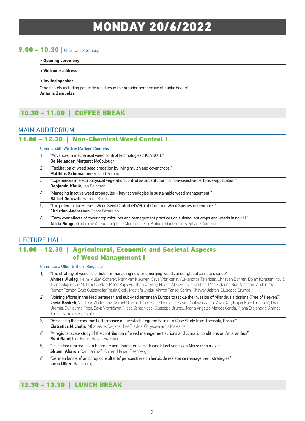# MONDAY 20/6/2022

#### 9.00 – 10.30 | Chair: Josef Soukup

**• Opening ceremony** 

#### **• Welcome address**

**• Invited speaker** 

"Food safety including pesticide residues in the broader perspective of public health" **Antonis Zampelas**

# 10.30 – 11.00 | COFFEE BREAK

#### MAIN AUDITORIUM

#### 11.00 – 12.30 | Non-Chemical Weed Control I

#### Chair: Judith Wirth & Marleen Riemens

- 1) "Advances in mechanical weed control technologies." KEYNOTE" **Bo Melander**; Margaret McCollough
- 2) "Facilitation of weed seed predation by living mulch and cover crops." **Matthias Schumacher**; Roland Gerhards
- 3) "Experiences in electrophysical vegetation control as substitution for non-selective herbicide-application." **Benjamin Klauk**; Jan Petersen
- 4) "Managing inactive weed propagules key technologies in sustainable weed management." **Bärbel Gerowitt**; Barbara Baraibar
- 5) "The potential for Harvest Weed Seed Control (HWSC) of Common Weed Species in Denmark." **Christian Andreasen**; Zahra Bitfarafan
- 6) "Carry over effects of cover crop mixtures and management practices on subsequent crops and weeds in no-till." **Alicia Rouge**; Guillaume Adeux ; Delphine Moreau ; Jean-Philippe Guillemin ; Stéphane Cordeau

# LECTURE HALL

#### 11.00 – 12.30 | Agricultural, Economic and Societal Aspects of Weed Management I

#### Chair: Lena Ulber & Björn Ringselle

- 1) "The strategy of weed scientists for managing new or emerging weeds under global climate change" **Ahmet Uludag**; HeinZ Müller-Schärer; Mark van Kleunen; Sava Vrbničanin; Alexandros Tataridas; Christian Bohren; Bojan Konstantinović; Tijana Stojanović; Mehmet Arslan; Miloš Rajković; İlhan Üremiş; Necmi Aksoy; Javid Kashefi; Marie Claude Bon; Vladimir Vladimirov; Rumen Tomov; Eyüp Gülbandılar; Yasin Çiçek; Mostafa Oveisi; Ahmet Tansel Serim; Khawar Jabran; Giuseppe Brunda
- "Joining efforts in the Mediterranean and sub-Mediterranean Europe to tackle the invasion of Ailanthus altissima (Tree of Heaven)" **Javid Kashefi**; Vladimir Vladimirov; Ahmet Uludag; Francesca Marinini; Elisavet Chatzivassiliou; Vaya Kati; Bojan Konstantinović; Ilhan Uremis; Guillaume Fried; Sava Vrbničanin; Nicos Seraphides; Giuseppe Brundu; Maria Ángeles Marcos García; Tijana Stojanović; Ahmet Tansel Serim; Sonja Stutz
- 3) "Assessing the Economic Performance of Livestock Legume Farms: A Case Study from Thessaly, Greece" **Efstratios Michalis**; Athanasios Ragkos; Ilias Travlos; Chrysovalantis Malesios
- 4) "A regional scale study of the contribution of weed management actions and climatic conditions on Amaranthus" **Roni Gafni**; Lior Blank; Hanan Eizenberg
- 5) "Using Ecoinformatics to Estimate and Characterize Herbicide Effectiveness in Maize (Zea mays)" **Shlomi Aharon**; Ran Lati; Yafit Cohen; Hanan Eizenberg
- 6) "German farmers' and crop consultants' perspectives on herbicide resistance management strategies" **Lena Ulber**; Han Zhang

#### 12.30 – 13.30 | LUNCH BREAK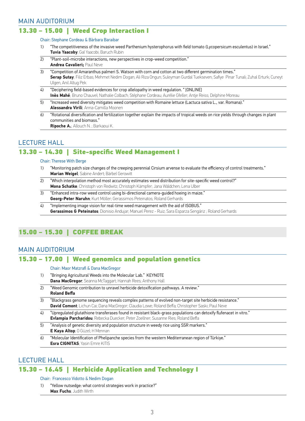#### 13.30 – 15.00 | Weed Crop Interaction I

#### Chair: Stephane Cordeau & Bàrbara Baraibar

- 1) "The competitiveness of the invasive weed Parthenium hysterophorus with field tomato (Lycopersicum esculentus) in Israel." **Tuvia Yaacoby**; Gal Yaacobi; Baruch Rubin
- 2) "Plant-soil-microbe interactions, new perspectives in crop-weed competition." **Andrea Cavalieri;** Paul Neve
- 3) "Competition of Amaranthus palmeri S. Watson with corn and cotton at two different germination times." **Serap Sutay**; Filiz Erbas; Mehmet Nedim Dogan; Ali Riza Ongun; Suleyman Gurdal Tuekseven; Safiye Pinar Tunali; Zuhal Erturk; Cuneyt Ulgen, Anil Altug Pek
- $\overline{4}$ ) "Deciphering field-based evidences for crop allelopathy in weed regulation. " [ONLINE] **Inès Mahé**; Bruno Chauvel; Nathalie Colbach; Stéphane Cordeau; Aurélie Gfeller; Antje Reiss; Delphine Moreau
- 5) "Increased weed diversity mitigates weed competition with Romaine lettuce (Lactuca sativa L., var. Romana)." **Alessandra Virili**; Anna-Camilla Moonen
- 6) "Rotational diversification and fertilization together explain the impacts of tropical weeds on rice yields through changes in plant communities and biomass." **Ripoche A.**; Allouch N. ; Barkaoui K.

### LECTURE HALL 13.30 – 14.30 | Site-specific Weed Management I

#### Chair: Therese With Berge

- 1) "Monitoring patch size changes of the creeping perennial Cirsium arvense to evaluate the efficiency of control treatments." **Marian Weigel**; Sabine Andert; Bärbel Gerowitt
- 2) Which interpolation method most accurately estimates weed distribution for site-specific weed control?" **Mona Schatke**; Christoph von Redwitz; Christoph Kämpfer; Jana Wäldchen; Lena Ulber
- 3) "Enhanced intra-row weed control using bi-directional camera-guided hoeing in maize." **Georg-Peter Naruhn**; Kurt Möller; Gerassimos Peteinatos; Roland Gerhards
- 4) "Implementing image vision for real-time weed management with the aid of ISOBUS." **Gerassimos G Peteinatos**; Dionisio Andujar; Manuel Perez - Ruiz; Sara Esparza Sengáriz ; Roland Gerhards

# 15.00 – 15.30 | COFFEE BREAK

#### MAIN AUDITORIUM

#### 15.30 – 17.00 | Weed genomics and population genetics

 Chair: Maor Matzrafi & Dana MacGregor

- 1) "Bringing Agricultural Weeds into the Molecular Lab." KEYNOTE **Dana MacGregor**; Seanna McTaggart; Hannah Rees; Anthony Hall
- 2) Weed Genomic contribution to unravel herbicide detoxification pathways. A review." **Roland Beffa**
- 3) "Blackgrass genome sequencing reveals complex patterns of evolved non-target site herbicide resistance." **David Comont**; Lichun Cai; Dana MacGregor; Claudia Lowe; Roland Beffa; Christopher Saski; Paul Neve
- 4) "Upregulated glutathione transferases found in resistant black-grass populations can detoxify flufenacet in vitro." **Evlampia Parcharidou**; Rebecka Duecker; Peter Zoellner; Susanne Ries; Roland Beffa
- 5) "Analysis of genetic diversity and population structure in weedy rice using SSR markers." **E Kaya Altop**; O Güzel; H Mennan
- 6) "Molecular Identification of Phelipanche species from the western Mediterranean region of Türkiye." **Esra CIGNITAS**; Yasin Emre KITIS

#### LECTURE HALL

#### 15.30 – 16.45 | Herbicide Application and Technology I

#### Chair: Francesco Vidotto & Nedim Dogan

1) "Yellow nutsedge: what control strategies work in practice?" **Max Fuchs**; Judith Wirth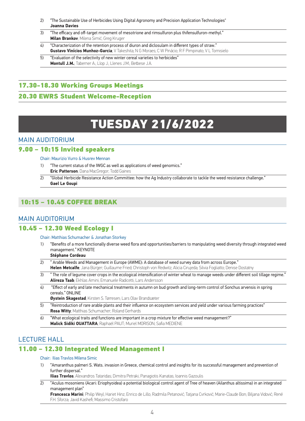- 2) "The Sustainable Use of Herbicides Using Digital Agronomy and Precision Application Technologies" **Joanna Davies**
- 3) "The efficacy and off-target movement of mesotrione and rimsulfuron plus thifensulfuron-methyl." **Milan Brankov**; Milena Simić; Greg Kruger
- 4) "Characterization of the retention process of diuron and diclosulam in different types of straw." **Gustavo Vinícios Munhoz-Garcia**; V Takeshita; N G Moraes; C W Pinácio; R F Pimpinato; V L Tornisielo
- 5) "Evaluation of the selectivity of new winter cereal varieties to herbicides" **Montull J.M.**; Taberner A.; Llop J.; Llenes J.M.; Betbese J.A.

# 17.30-18.30 Working Groups Meetings

### 20.30 EWRS Student Welcome-Reception

# TUESDAY 21/6/2022

### MAIN AUDITORIUM

#### 9.00 – 10:15 Invited speakers

Chair: Maurizio Vurro & Husrev Mennan

- 1) "The current status of the IWGC as well as applications of weed genomics." **Eric Patterson**; Dana MacGregor; Todd Gaines
- 2) "Global Herbicide Resistance Action Committee: how the Ag Industry collaborate to tackle the weed resistance challenge." **Gael Le Goupi**

# 10:15 – 10.45 COFFEE BREAK

#### MAIN AUDITORIUM

#### 10.45 – 12.30 Weed Ecology I

#### Chair: Matthias Schumacher & Jonathan Storkey

1) "Benefits of a more functionally diverse weed flora and opportunities/barriers to manipulating weed diversity through integrated weed management." KEYNOTE

#### **Stéphane Cordeau**

- 2) " Arable Weeds and Management in Europe (AWME): A database of weed survey data from across Europe." **Helen Metcalfe**; Jana Bürger; Guillaume Fried; Christoph von Redwitz; Alicia Cirujeda; Silvia Fogliatto; Denise Dostatny
- 3) The role of legume cover crops in the ecological intensification of winter wheat to manage weeds under different soil tillage regime." **Alireza Taab**; Ekhlas Amini; Emanuele Radicetti; Lars Andersson
- 4) "Effect of early and late mechanical treatments in autumn on bud growth and long-term control of Sonchus arvensis in spring cereals." ONLINE

**Øystein Skagestad**; Kirsten S. Tørresen; Lars Olav Brandsæter

- 5) "Reintroduction of rare arable plants and their influence on ecosystem services and yield under various farming practices" **Rosa Witty**; Matthias Schumacher; Roland Gerhards
- $\overline{6}$ ) "What ecological traits and functions are important in a crop mixture for effective weed management?" **Malick Sidiki OUATTARA**; Raphaël PAUT; Muriel MORISON; Safia MEDIENE

# LECTURE HALL

#### 11.00 – 12.30 Integrated Weed Management I

#### Chair: Ilias Travlos Milena Simic

 1) "Amaranthus palmeri S. Wats. invasion in Greece, chemical control and insights for its successful management and prevention of further dispersal."

**Ilias Travlos**; Alexandros Tataridas; Dimitra Petraki; Panagiotis Kanatas; Ioannis Gazoulis

 2) "Aculus mosoniens (Acari: Eriophyoidea) a potential biological control agent of Tree of heaven (Ailanthus altissima) in an integrated management plan"

**Francesca Marini**; Philip Weyl; Hariet Hinz; Enrico de Lillo; Radmila Petanović; Tatjana Cvrković; Marie-Claude Bon; Biljana Vidović; René F.H. Sforza; Javid Kashefi; Massimo Cristofaro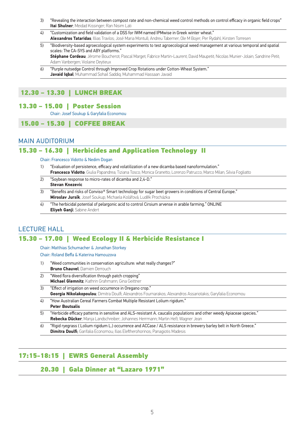- 3) "Revealing the interaction between compost rate and non-chemical weed control methods on control efficacy in organic field crops" **Itai Shulner**; Meidad Kissinger; Ran Nisim Lati
- 4) "Customization and field validation of a DSS for IWM named IPMwise in Greek winter wheat." **Alexandros Tataridas**; Illias Travlos; José Maria Montull; Andreu Taberner; Ole M Bojer; Per Rydahl; Kirsten Torresen
- 
- 5) "Biodiversity-based agroecological system experiments to test agroecological weed management at various temporal and spatial scales: The CA-SYS and ABY platforms." **Stéphane Cordeau**; Jérome Boucherot; Pascal Marget; Fabrice Martin-Laurent; David Maupetit; Nicolas Munier-Jolain; Sandrine Petit;

Adam Vanbergen; Violaine Deytieux

 6) "Purple nutsedge Control through Improved Crop Rotations under Cotton-Wheat System." **Javaid Iqbal**; Muhammad Sohail Saddiq; Muhammad Hassaan Javaid

## 12.30 – 13.30 | LUNCH BREAK

#### 13.30 – 15.00 | Poster Session

Chair: Josef Soukup & Garyfalia Economou

#### 15.00 – 15.30 | COFFEE BREAK

#### MAIN AUDITORIUM

### 15.30 – 16.30 | Herbicides and Application Technology II

Chair: Francesco Vidotto & Nedim Dogan

- 1) "Evaluation of persistence, efficacy and volatilization of a new dicamba based nanoformulation." **Francesco Vidotto**; Giulia Papandrea; Tiziana Tosco; Monica Granetto; Lorenzo Patrucco; Marco Milan; Silvia Fogliatto
- 2) "Soybean response to micro-rates of dicamba and 2,4-D." **Stevan Knezevic**
- 3) "Benefits and risks of Conviso® Smart technology for sugar beet growers in conditions of Central Europe." **Miroslav Jursík**; Josef Soukup; Michaela Kolářová; Luděk Procházka
- 4) "The herbicidal potential of pelargonic acid to control Cirsium arvense in arable farming." ONLINE **Eliyeh Ganji**; Sabine Andert

#### LECTURE HALL

# 15.30 – 17.00 | Weed Ecology II & Herbicide Resistance I

Chair: Matthias Schumacher & Jonathan Storkey

 Chair: Roland Beffa & Katerina Hamouzova

- 1) "Weed communities in conservation agriculture: what really changes?" **Bruno Chauvel**; Damien Derrouch
- 2) "Weed flora diversification through patch cropping" **Michael Glemnitz**; Kathrin Grahmann; Gina Geittner
- 3) "Effect of irrigation on weed occurrence in Oregano crop." **Georgia Nikolakopoulou**; Dimitra Doulfi; Alexandros Fournarakos; Alexandros Assariotakis; Garyfalia Economou
- 4) "How Australian Cereal Farmers Combat Multiple Resistant Lolium rigidum." **Peter Boutsalis**
- 5) "Herbicide efficacy patterns in sensitive and ALS-resistant A. caucalis populations and other weedy Apiaceae species." **Rebecka Dücker**; Manja Landschreiber; Johannes Herrmann; Martin Heß; Wagner Jean
- "Rigid ryegrass ( Lolium rigidum L.) occurrence and ACCase / ALS resistance in brewery barley belt in North Greece." **Dimitra Doulfi**; Garifalia Economou; Ilias Eleftherohorinos; Panagiotis Madesis

#### 17:15-18:15 | EWRS General Assembly

#### 20.30 | Gala Dinner at "Lazaro 1971"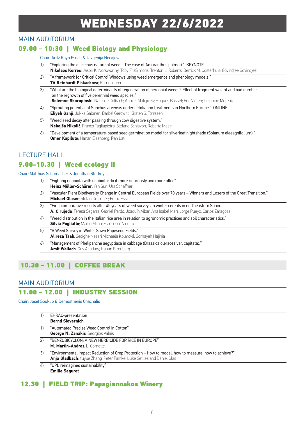# WEDNESDAY 22/6/2022

#### MAIN AUDITORIUM

### 09.00 – 10:30 | Weed Biology and Physiology

#### Chair: Aritz Royo Esnal & Jevgenija Necajeva

- 1) "Exploring the dioceious nature of weeds: The case of Amaranthus palmeri." KEYNOTE **Nikolaos Korres**; Jason K. Norsworthy; Toby FitzSimons; Trenton L. Roberts; Derrick M. Oosterhuis; Govindjee Govindjee
- 2) "A framework for Critical Control Windows using weed emergence and phenology models." **TA Reinhardt Piskackova**; Ramon Leon
- 3) "What are the biological determinants of regeneration of perennial weeds? Effect of fragment weight and bud number on the regrowth of five perennial weed species." **Solèmne Skorupinski**; Nathalie Colbach; Annick Matejicek; Hugues Busset; Eric Vieren; Delphine Moreau
- 4) "Sprouting potential of Sonchus arvensis under defoliation treatments in Northern Europe." ONLINE **Eliyeh Ganji**; Jukka Salonen; Bärbel Gerowitt; Kirsten S. Tørresen
- 5) "Weed seed decay after passing through cow digestive system." **Nebojša Nikolić**; Franco Tagliapietra; Stefano Schiavon; Roberta Masin
- 6) "Development of a temperature-based seed germination model for silverleaf nightshade (Solanum elaeagnifolium)." **Omer Kapiluto**; Hanan Eizenberg; Ran Lati

#### LECTURE HALL

#### 9.00-10.30 | Weed ecology II

Chair: Matthias Schumacher & Jonathan Storkey

- 1) "Fighting neobiota with neobiota: do it more rigorously and more often" **Heinz Müller-Schärer**; Yan Sun; Urs Schaffner
- 2) "Vascular Plant Biodiversity Change in Central European Fields over 70 years Winners and Losers of the Great Transition." **Michael Glaser**; Stefan Dullinger; Franz Essl
- 3) "First comparative results after 45 years of weed surveys in winter cereals in northeastern Spain. **A. Cirujeda**; Teresa Segarra; Gabriel Pardo; Joaquín Aibar; Ana Isabel Marí; Jorge Pueyo; Carlos Zaragoza
- 4) "Weed distribution in the Italian rice area in relation to agronomic practices and soil characteristics." **Silvia Fogliatto**; Marco Milan; Francesco Vidotto
- 5) "A Weed Survey in Winter Sown Rapeseed Fields." **Alireza Taab**; Sedighe Nazari;Michaela Kolářová; Somayeh Hajinia
- 6) "Management of Phelipanche aegyptiaca in cabbage (Brassica oleracea var. capitata)." **Amit Wallach**; Guy Achdary; Hanan Eizenberg

# 10.30 – 11.00 | COFFEE BREAK

#### MAIN AUDITORIUM

#### 11.00 – 12.00 | INDUSTRY SESSION

Chair: Josef Soukup & Demosthenis Chachalis

| 1) | <b>EHRAC-presentation</b>                                                                           |
|----|-----------------------------------------------------------------------------------------------------|
|    | <b>Bernd Sievernich</b>                                                                             |
| 1) | "Automated Precise Weed Control in Cotton"                                                          |
|    | <b>George N. Zanakis</b> ; Georgios Valais                                                          |
| 2) | "BENZOBICYCLON: A NEW HERBICIDE FOR RICE IN EUROPE"                                                 |
|    | <b>M. Martin-Andres: L. Cornette</b>                                                                |
| 3) | "Environmental Impact Reduction of Crop Protection - How to model, how to measure, how to achieve?" |
|    | Anja Gladbach; Yuyue Zhang; Peter Fantke; Luke Settles and Daniel Glas                              |
| 4) | "UPL reimagines sustainability"                                                                     |
|    | <b>Emilie Seguret</b>                                                                               |

#### 12.30 | FIELD TRIP: Papagiannakos Winery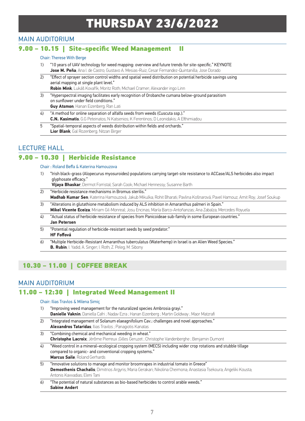# THURSDAY 23/6/2022

### MAIN AUDITORIUM

#### 9.00 – 10.15 | Site-specific Weed Management II

#### Chair: Therese With Berge

- 1) "I 0 years of UAV technology for weed mapping: overview and future trends for site-specific." KEYNOTE **Jose M. Peña**; Ana I. de Castro; Gustavo A. Mesias-Ruiz; Cesar Fernandez-Quintanilla; Jose Dorado
- 2) "Effect of sprayer section control widths and spatial weed distribution on potential herbicide savings using aerial mapping at single plant level." **Robin Mink**; Lukáš Kovařík; Moritz Roth; Michael Cramer; Alexander ingo Linn
- 3) "Hyperspectral imaging facilitates early recognition of Orobanche cumana below-ground parasitism on sunflower under field conditions." **Guy Atsmon**; Hanan Eizenberg; Ran Lati
- 4) "A method for online separation of alfalfa seeds from weeds (Cuscuta ssp.)." **C.N. Kasimatis**; G.G Peteinatos; N Katsenios; K Ferentinos; D Leonidakis; A Efthimiadou
- 5 "Spatial-temporal aspects of weeds distribution within fields and orchards." **Lior Blank**; Gal Rozenberg; Nitzan Birger

### LECTURE HALL

#### 9.00 – 10.30 | Herbicide Resistance

#### Chair : Roland Beffa & Katerina Hamouzova

"Irish black-grass (Alopecurus myosuroides) populations carrying target-site resistance to ACCase/ALS herbicides also impact glyphosate efficacy."

**Vijaya Bhaskar**; Dermot Forristal; Sarah Cook; Michael Hennessy; Susanne Barth

- 2) "Herbicide resistance mechanisms in Bromus sterilis." **Madhab Kumar Sen**; Katerina Hamouzová; Jakub Mikulka; Rohit Bharati; Pavlina Košnarová; Pavel Hamouz; Amit Roy; Josef Soukup
- 3) "Alterations in glutathione metabolism induced by ALS inhibition in Amaranthus palmeri in Spain." **Mikel Vicente Eceiza**; Miriam Gil-Monreal; Josu Encinas; María Barco-Antoñanzas; Ana Zabalza; Mercedes Royuela
- 4) "Actual status of herbicide resistance of species from Panicoideae sub-family in some European countries." **Jan Petersen**
- 5) "Potential regulation of herbicide-resistant seeds by seed predator." **HF Foffová**
- 6) "Multiple Herbicide-Resistant Amaranthus tuberculatus (Waterhemp) in Israel is an Alien Weed Species." **B. Rubin**; I. Yadid; A. Singer; I. Roth; Z. Peleg; M. Sibony

# 10.30 – 11.00 | COFFEE BREAK

#### MAIN AUDITORIUM

#### 11.00 – 12:30 | Integrated Weed Management II

#### Chair: Ilias Travlos & Milena Simiç

- 1) "Improving weed management for the naturalized species Ambrosia grayi." **Danielle Vaknin**; Daniella Cafri ; Nadav Ezra ; Hanan Eizenberg ; Martin Goldway ; Maor Matzrafi
- 2) "Integrated management of Solanum elaeagnifolium Cav.: challenges and novel approaches." **Alexandros Tataridas**; Ilias Travlos ; Panagiotis Kanatas
- 3) "Combining chemical and mechanical weeding in wheat." **Christophe Lacroix**; Jérôme Pierreux ;Gilles Geruzet ; Christophe Vandenberghe ; Benjamin Dumont 4) "Weed control in a mineral–ecological cropping system (MECS) including wider crop rotations and stubble tillage
- compared to organic- and conventional cropping systems." **Marcus Saile**; Roland Gerhards
- 5) "Innovative solutions to manage and monitor broomrapes in industrial tomato in Greece" **Demosthenis Chachalis**; Dimitrios Argyris; Maria Gerakari; Nikolina Cheimona; Anastasia Tsekoura; Angeliki Kousta; Antonis Kavvadias; Eleni Tani
- 6) "The potential of natural substances as bio-based herbicides to control arable weeds." **Sabine Andert**